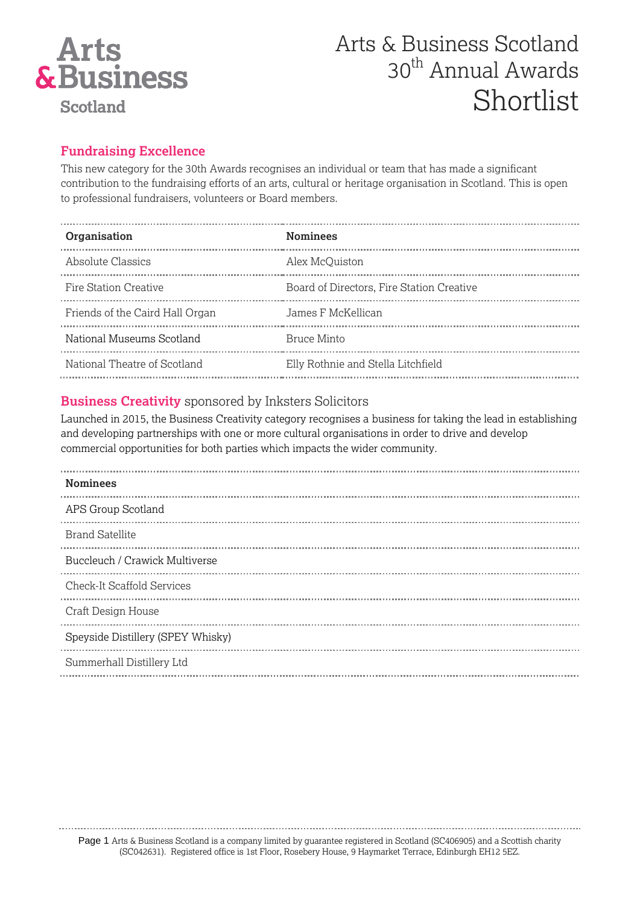

### **Fundraising Excellence**

This new category for the 30th Awards recognises an individual or team that has made a significant contribution to the fundraising efforts of an arts, cultural or heritage organisation in Scotland. This is open to professional fundraisers, volunteers or Board members.

| Organisation                    | <b>Nominees</b>                           |
|---------------------------------|-------------------------------------------|
| Absolute Classics               | Alex McOuiston                            |
| Fire Station Creative           | Board of Directors, Fire Station Creative |
| Friends of the Caird Hall Organ | James F McKellican                        |
| National Museums Scotland       | Bruce Minto                               |
| National Theatre of Scotland    | Elly Rothnie and Stella Litchfield        |

### **Business Creativity** sponsored by Inksters Solicitors

Launched in 2015, the Business Creativity category recognises a business for taking the lead in establishing and developing partnerships with one or more cultural organisations in order to drive and develop commercial opportunities for both parties which impacts the wider community.

| <b>Nominees</b>                   |
|-----------------------------------|
| APS Group Scotland                |
| <b>Brand Satellite</b>            |
| Buccleuch / Crawick Multiverse    |
| <b>Check-It Scaffold Services</b> |
| <b>Craft Design House</b>         |
| Speyside Distillery (SPEY Whisky) |
| Summerhall Distillery Ltd         |

Page 1 Arts & Business Scotland is a company limited by guarantee registered in Scotland (SC406905) and a Scottish charity (SC042631). Registered office is 1st Floor, Rosebery House, 9 Haymarket Terrace, Edinburgh EH12 5EZ.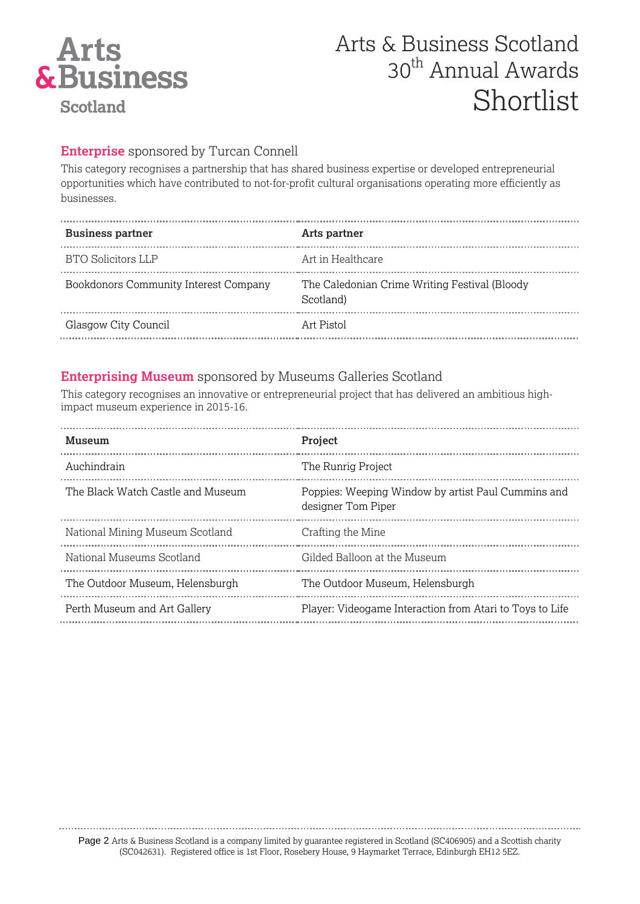

### **Enterprise** sponsored by Turcan Connell

This category recognises a partnership that has shared business expertise or developed entrepreneurial opportunities which have contributed to not-for-profit cultural organisations operating more efficiently as businesses.

| <b>Business partner</b>               | Arts partner                                               |
|---------------------------------------|------------------------------------------------------------|
| <b>BTO Solicitors LLP</b>             | Art in Healthcare                                          |
| Bookdonors Community Interest Company | The Caledonian Crime Writing Festival (Bloody<br>Scotland) |
| Glasgow City Council                  | Art Pistol                                                 |

#### **Enterprising Museum** sponsored by Museums Galleries Scotland

This category recognises an innovative or entrepreneurial project that has delivered an ambitious highimpact museum experience in 2015-16.

| Museum                            | <b>Project</b>                                                           |
|-----------------------------------|--------------------------------------------------------------------------|
| Auchindrain                       | The Runrig Project                                                       |
| The Black Watch Castle and Museum | Poppies: Weeping Window by artist Paul Cummins and<br>designer Tom Piper |
| National Mining Museum Scotland   | Crafting the Mine                                                        |
| National Museums Scotland         | Gilded Balloon at the Museum                                             |
| The Outdoor Museum, Helensburgh   | The Outdoor Museum, Helensburgh                                          |
| Perth Museum and Art Gallery      | Player: Videogame Interaction from Atari to Toys to Life                 |

Page 2 Arts & Business Scotland is a company limited by guarantee registered in Scotland (SC406905) and a Scottish charity

(SC042631). Registered office is 1st Floor, Rosebery House, 9 Haymarket Terrace, Edinburgh EH12 5EZ.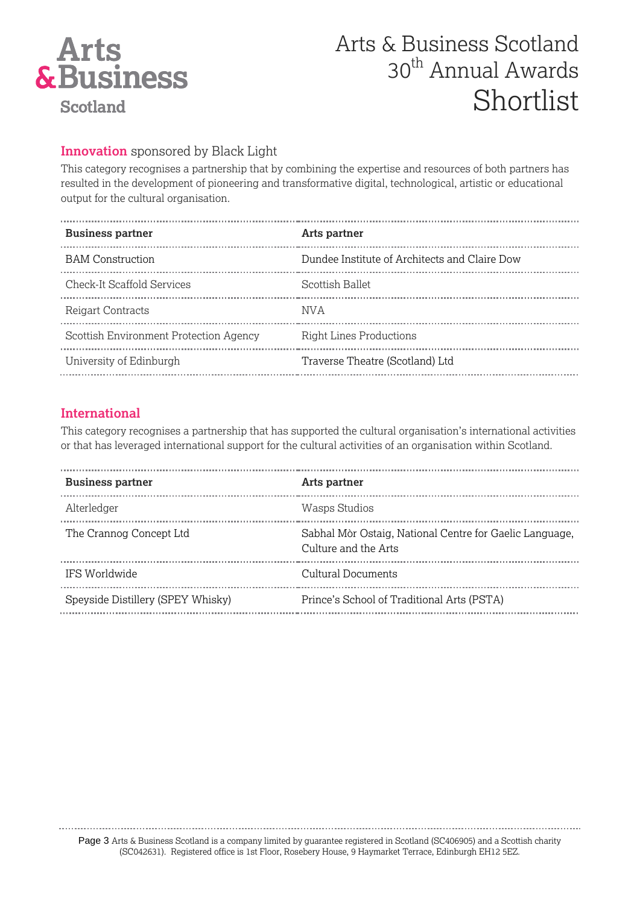

#### **Innovation** sponsored by Black Light

This category recognises a partnership that by combining the expertise and resources of both partners has resulted in the development of pioneering and transformative digital, technological, artistic or educational output for the cultural organisation.

| <b>Business partner</b>                | Arts partner                                  |
|----------------------------------------|-----------------------------------------------|
| <b>BAM</b> Construction                | Dundee Institute of Architects and Claire Dow |
| <b>Check-It Scaffold Services</b>      | Scottish Ballet                               |
| Reigart Contracts                      | NV A                                          |
| Scottish Environment Protection Agency | <b>Right Lines Productions</b>                |
| University of Edinburgh                | Traverse Theatre (Scotland) Ltd               |
|                                        |                                               |

#### **International**

This category recognises a partnership that has supported the cultural organisation's international activities or that has leveraged international support for the cultural activities of an organisation within Scotland.

| <b>Business partner</b>           | Arts partner                                                                    |
|-----------------------------------|---------------------------------------------------------------------------------|
| Alterledger                       | Wasps Studios                                                                   |
| The Crannog Concept Ltd           | Sabhal Mòr Ostaig, National Centre for Gaelic Language,<br>Culture and the Arts |
| <b>IFS Worldwide</b>              | Cultural Documents                                                              |
| Speyside Distillery (SPEY Whisky) | Prince's School of Traditional Arts (PSTA)                                      |